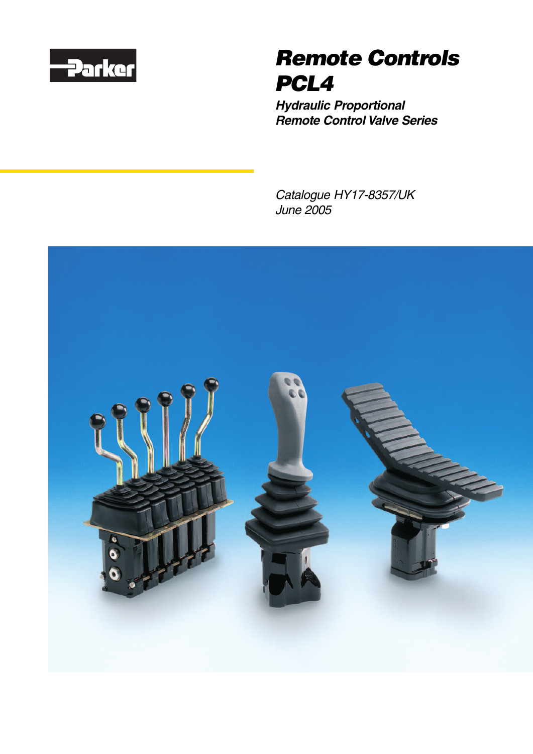

# **Remote Controls PCL4**

**Hydraulic Proportional Remote Control Valve Series**

Catalogue HY17-8357/UK June 2005

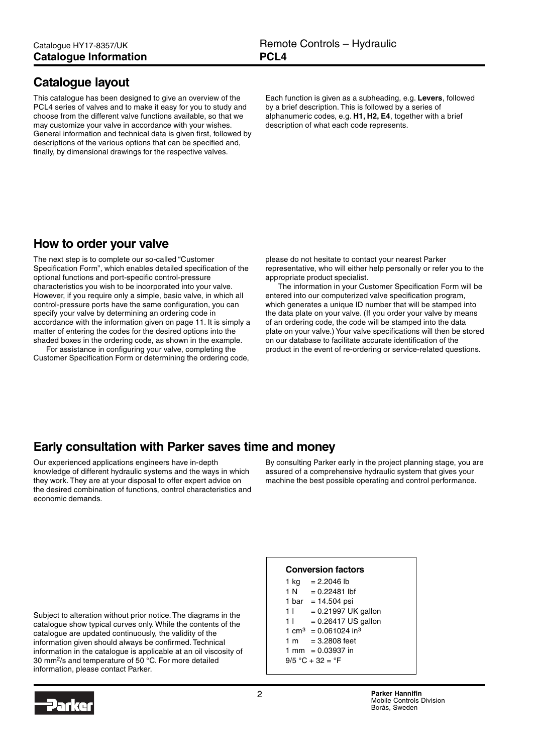### <span id="page-1-0"></span>**Catalogue layout**

This catalogue has been designed to give an overview of the PCL4 series of valves and to make it easy for you to study and choose from the different valve functions available, so that we may customize your valve in accordance with your wishes. General information and technical data is given first, followed by descriptions of the various options that can be specified and, finally, by dimensional drawings for the respective valves.

Each function is given as a subheading, e.g. **Levers**, followed by a brief description. This is followed by a series of alphanumeric codes, e.g. **H1, H2, E4**, together with a brief description of what each code represents.

### **How to order your valve**

The next step is to complete our so-called "Customer Specification Form", which enables detailed specification of the optional functions and port-specific control-pressure characteristics you wish to be incorporated into your valve. However, if you require only a simple, basic valve, in which all control-pressure ports have the same configuration, you can specify your valve by determining an ordering code in accordance with the information given on page 11. It is simply a matter of entering the codes for the desired options into the shaded boxes in the ordering code, as shown in the example.

For assistance in configuring your valve, completing the Customer Specification Form or determining the ordering code, please do not hesitate to contact your nearest Parker representative, who will either help personally or refer you to the appropriate product specialist.

The information in your Customer Specification Form will be entered into our computerized valve specification program, which generates a unique ID number that will be stamped into the data plate on your valve. (If you order your valve by means of an ordering code, the code will be stamped into the data plate on your valve.) Your valve specifications will then be stored on our database to facilitate accurate identification of the product in the event of re-ordering or service-related questions.

### **Early consultation with Parker saves time and money**

Our experienced applications engineers have in-depth knowledge of different hydraulic systems and the ways in which they work. They are at your disposal to offer expert advice on the desired combination of functions, control characteristics and economic demands.

By consulting Parker early in the project planning stage, you are assured of a comprehensive hydraulic system that gives your machine the best possible operating and control performance.

**Conversion factors** 1 kg =  $2.2046$  lb  $1 N = 0.22481$  lbf 1 bar =  $14.504$  psi  $11 = 0.21997$  UK gallon  $1! = 0.26417$  US gallon 1 cm<sup>3</sup> =  $0.061024$  in<sup>3</sup> 1 m = 3.2808 feet 1 mm =  $0.03937$  in  $9/5 °C + 32 = °F$ 

Subject to alteration without prior notice. The diagrams in the catalogue show typical curves only. While the contents of the catalogue are updated continuously, the validity of the information given should always be confirmed. Technical information in the catalogue is applicable at an oil viscosity of 30 mm2/s and temperature of 50 °C. For more detailed information, please contact Parker.

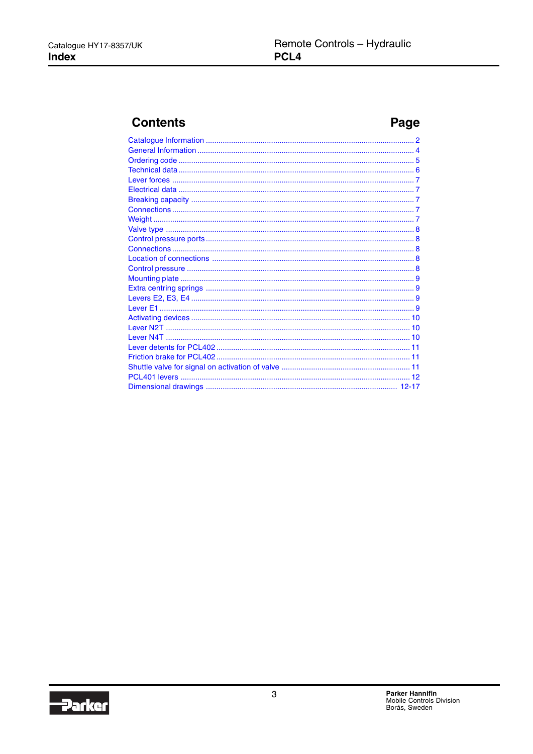### **Contents**

### Page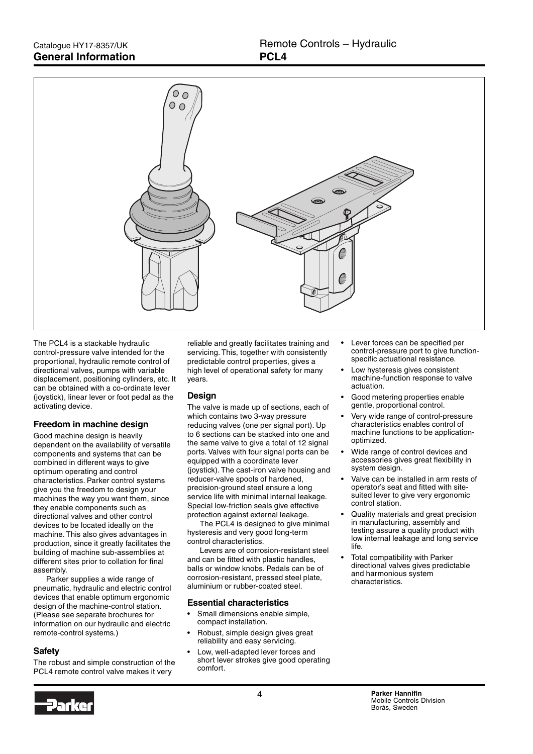<span id="page-3-0"></span>

The PCL4 is a stackable hydraulic control-pressure valve intended for the proportional, hydraulic remote control of directional valves, pumps with variable displacement, positioning cylinders, etc. It can be obtained with a co-ordinate lever (joystick), linear lever or foot pedal as the activating device.

#### **Freedom in machine design**

Good machine design is heavily dependent on the availability of versatile components and systems that can be combined in different ways to give optimum operating and control characteristics. Parker control systems give you the freedom to design your machines the way you want them, since they enable components such as directional valves and other control devices to be located ideally on the machine. This also gives advantages in production, since it greatly facilitates the building of machine sub-assemblies at different sites prior to collation for final assembly.

Parker supplies a wide range of pneumatic, hydraulic and electric control devices that enable optimum ergonomic design of the machine-control station. (Please see separate brochures for information on our hydraulic and electric remote-control systems.)

#### **Safety**

The robust and simple construction of the PCL4 remote control valve makes it very

reliable and greatly facilitates training and servicing. This, together with consistently predictable control properties, gives a high level of operational safety for many years.

#### **Design**

The valve is made up of sections, each of which contains two 3-way pressure reducing valves (one per signal port). Up to 6 sections can be stacked into one and the same valve to give a total of 12 signal ports. Valves with four signal ports can be equipped with a coordinate lever (joystick). The cast-iron valve housing and reducer-valve spools of hardened, precision-ground steel ensure a long service life with minimal internal leakage. Special low-friction seals give effective protection against external leakage.

The PCL4 is designed to give minimal hysteresis and very good long-term control characteristics.

Levers are of corrosion-resistant steel and can be fitted with plastic handles, balls or window knobs. Pedals can be of corrosion-resistant, pressed steel plate, aluminium or rubber-coated steel.

#### **Essential characteristics**

- Small dimensions enable simple. compact installation.
- Robust, simple design gives great reliability and easy servicing.
- Low, well-adapted lever forces and short lever strokes give good operating comfort.
- Lever forces can be specified per control-pressure port to give functionspecific actuational resistance.
- Low hysteresis gives consistent machine-function response to valve actuation.
- Good metering properties enable gentle, proportional control.
- Very wide range of control-pressure characteristics enables control of machine functions to be applicationoptimized.
- Wide range of control devices and accessories gives great flexibility in system design.
- Valve can be installed in arm rests of operator's seat and fitted with sitesuited lever to give very ergonomic control station.
- Quality materials and great precision in manufacturing, assembly and testing assure a quality product with low internal leakage and long service life.
- Total compatibility with Parker directional valves gives predictable and harmonious system characteristics.

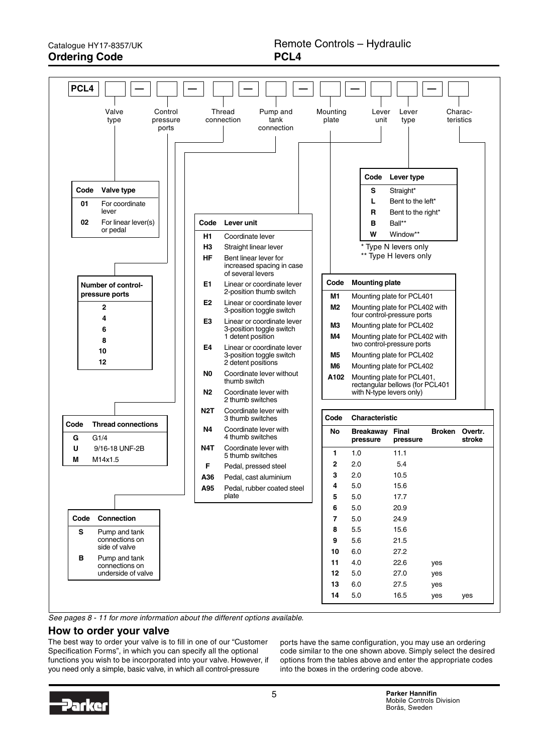<span id="page-4-0"></span>Catalogue HY17-8357/UK **Ordering Code**



See pages 8 - 11 for more information about the different options available.

#### **How to order your valve**

The best way to order your valve is to fill in one of our "Customer Specification Forms", in which you can specify all the optional functions you wish to be incorporated into your valve. However, if you need only a simple, basic valve, in which all control-pressure

ports have the same configuration, you may use an ordering code similar to the one shown above. Simply select the desired options from the tables above and enter the appropriate codes into the boxes in the ordering code above.

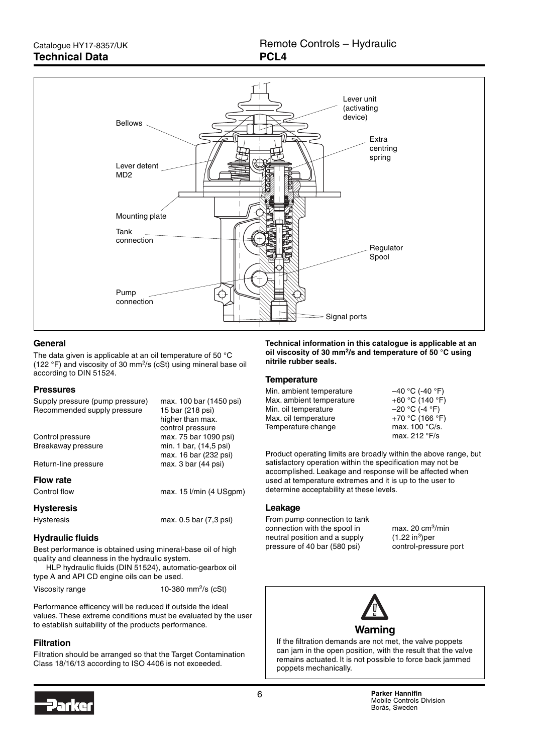<span id="page-5-0"></span>

#### **General**

The data given is applicable at an oil temperature of 50 °C (122 °F) and viscosity of 30 mm2/s (cSt) using mineral base oil according to DIN 51524.

#### **Pressures**

| Supply pressure (pump pressure)<br>Recommended supply pressure | max. 100 bar (1450 psi)<br>15 bar (218 psi)  |
|----------------------------------------------------------------|----------------------------------------------|
|                                                                | higher than max.<br>control pressure         |
| Control pressure                                               | max. 75 bar 1090 psi)                        |
| Breakaway pressure                                             | min. 1 bar, (14,5 psi)                       |
| Return-line pressure                                           | max. 16 bar (232 psi)<br>max. 3 bar (44 psi) |
|                                                                |                                              |
| <b>Flow rate</b>                                               |                                              |
| Control flow                                                   | max. $15$ $l/min$ (4 $USqpm$ )               |
| <b>Hysteresis</b>                                              |                                              |
| <b>Hysteresis</b>                                              | max. 0.5 bar (7,3 psi)                       |

#### **Hydraulic fluids**

Best performance is obtained using mineral-base oil of high quality and cleanness in the hydraulic system.

HLP hydraulic fluids (DIN 51524), automatic-gearbox oil type A and API CD engine oils can be used.

| Viscosity range | 10-380 mm <sup>2</sup> /s (cSt) |  |
|-----------------|---------------------------------|--|
|                 |                                 |  |

Performance efficency will be reduced if outside the ideal values. These extreme conditions must be evaluated by the user to establish suitability of the products performance.

#### **Filtration**

Filtration should be arranged so that the Target Contamination Class 18/16/13 according to ISO 4406 is not exceeded.

**Technical information in this catalogue is applicable at an oil viscosity of 30 mm2/s and temperature of 50 °C using nitrile rubber seals.**

#### **Temperature**

| Min. ambient temperature | $-40 °C$ (-40 $°F$ )    |
|--------------------------|-------------------------|
| Max. ambient temperature | +60 °C (140 °F)         |
| Min. oil temperature     | $-20 °C$ (-4 $°F$ )     |
| Max. oil temperature     | +70 °C (166 °F)         |
| Temperature change       | max. $100^{\circ}$ C/s. |
|                          | max. $212 °F/s$         |

Product operating limits are broadly within the above range, but satisfactory operation within the specification may not be accomplished. Leakage and response will be affected when used at temperature extremes and it is up to the user to determine acceptability at these levels.

#### **Leakage**

From pump connection to tank connection with the spool in max. 20 cm3/min neutral position and a supply  $(1.22 \text{ in}^3)$  per pressure of 40 bar (580 psi) control-pressure port



If the filtration demands are not met, the valve poppets can jam in the open position, with the result that the valve remains actuated. It is not possible to force back jammed poppets mechanically.

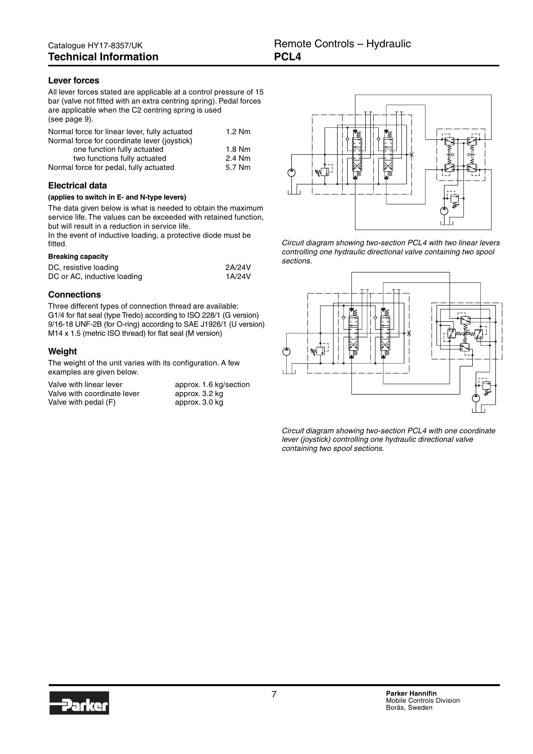#### <span id="page-6-0"></span>**Lever forces**

All lever forces stated are applicable at a control pressure of 15 bar (valve not fitted with an extra centring spring). Pedal forces are applicable when the C2 centring spring is used (see page 9).

| Normal force for linear lever, fully actuated | $1.2$ Nm |
|-----------------------------------------------|----------|
| Normal force for coordinate lever (joystick)  |          |
| one function fully actuated                   | $1.8$ Nm |
| two functions fully actuated                  | 2.4 Nm   |
| Normal force for pedal, fully actuated        | 5.7 Nm   |

#### **Electrical data**

#### **(applies to switch in E- and N-type levers)**

The data given below is what is needed to obtain the maximum service life. The values can be exceeded with retained function, but will result in a reduction in service life.

In the event of inductive loading, a protective diode must be fitted.

#### **Breaking capacity**

| DC, resistive loading       | 2A/24V |
|-----------------------------|--------|
| DC or AC, inductive loading | 1A/24V |

#### **Connections**

Three different types of connection thread are available: G1/4 for flat seal (type Tredo) according to ISO 228/1 (G version) 9/16-18 UNF-2B (for O-ring) according to SAE J1926/1 (U version) M14 x 1.5 (metric ISO thread) for flat seal (M version)

#### **Weight**

The weight of the unit varies with its configuration. A few examples are given below.

Valve with linear lever approx. 1.6 kg/section Valve with coordinate lever Valve with pedal  $(F)$ 

|                | approx. 1.6 kg/sectio |
|----------------|-----------------------|
| approx. 3.2 kg |                       |
| approx. 3.0 kg |                       |



Circuit diagram showing two-section PCL4 with two linear levers controlling one hydraulic directional valve containing two spool sections.



Circuit diagram showing two-section PCL4 with one coordinate lever (joystick) controlling one hydraulic directional valve containing two spool sections.

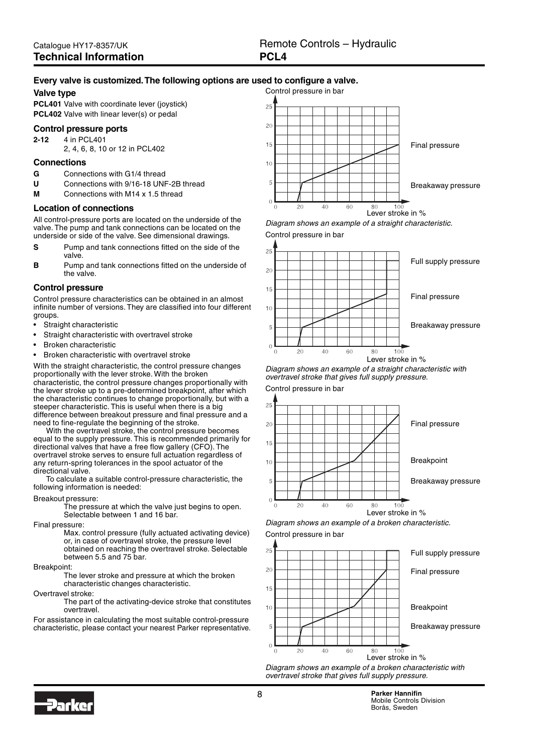#### <span id="page-7-0"></span>**Every valve is customized. The following options are used to configure a valve.**

#### **Valve type**

**PCL401** Valve with coordinate lever (joystick) **PCL402** Valve with linear lever(s) or pedal

#### **Control pressure ports**

**2-12** 4 in PCL401

2, 4, 6, 8, 10 or 12 in PCL402

#### **Connections**

- **G** Connections with G1/4 thread
- **U** Connections with 9/16-18 UNF-2B thread
- **M** Connections with M14 x 1.5 thread

#### **Location of connections**

All control-pressure ports are located on the underside of the valve. The pump and tank connections can be located on the underside or side of the valve. See dimensional drawings.

- **S** Pump and tank connections fitted on the side of the valve.
- **B** Pump and tank connections fitted on the underside of the valve.

#### **Control pressure**

Control pressure characteristics can be obtained in an almost infinite number of versions. They are classified into four different groups.

- Straight characteristic
- Straight characteristic with overtravel stroke
- Broken characteristic
- Broken characteristic with overtravel stroke

With the straight characteristic, the control pressure changes proportionally with the lever stroke. With the broken characteristic, the control pressure changes proportionally with the lever stroke up to a pre-determined breakpoint, after which the characteristic continues to change proportionally, but with a steeper characteristic. This is useful when there is a big difference between breakout pressure and final pressure and a need to fine-regulate the beginning of the stroke.

With the overtravel stroke, the control pressure becomes equal to the supply pressure. This is recommended primarily for directional valves that have a free flow gallery (CFO). The overtravel stroke serves to ensure full actuation regardless of any return-spring tolerances in the spool actuator of the directional valve.

To calculate a suitable control-pressure characteristic, the following information is needed:

#### Breakout pressure:

The pressure at which the valve just begins to open. Selectable between 1 and 16 bar.

#### Final pressure:

Max. control pressure (fully actuated activating device) or, in case of overtravel stroke, the pressure level obtained on reaching the overtravel stroke. Selectable between 5.5 and 75 bar.

#### Breakpoint:

The lever stroke and pressure at which the broken characteristic changes characteristic.

Overtravel stroke:

The part of the activating-device stroke that constitutes overtravel.

For assistance in calculating the most suitable control-pressure characteristic, please contact your nearest Parker representative.



Diagram shows an example of a straight characteristic. Control pressure in bar



Lever stroke in %

Diagram shows an example of a straight characteristic with overtravel stroke that gives full supply pressure. Control pressure in bar







Diagram shows an example of a broken characteristic. Control pressure in bar





Diagram shows an example of a broken characteristic with overtravel stroke that gives full supply pressure.

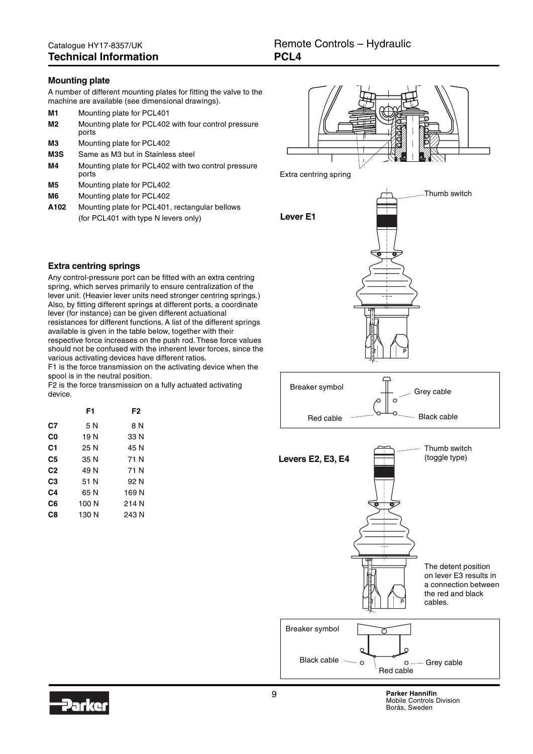#### <span id="page-8-0"></span>**Mounting plate**

A number of different mounting plates for fitting the valve to the machine are available (see dimensional drawings).

| M1 | Mounting plate for PCL401                                     |
|----|---------------------------------------------------------------|
| M2 | Mounting plate for PCL402 with four control pressure<br>ports |

- **M3** Mounting plate for PCL402
- **M3S** Same as M3 but in Stainless steel
- **M4** Mounting plate for PCL402 with two control pressure ports
- **M5** Mounting plate for PCL402
- **M6** Mounting plate for PCL402
- **A102** Mounting plate for PCL401, rectangular bellows (for PCL401 with type N levers only)



Thumb switch

Extra centring spring



#### **Extra centring springs**

Any control-pressure port can be fitted with an extra centring spring, which serves primarily to ensure centralization of the lever unit. (Heavier lever units need stronger centring springs.) Also, by fitting different springs at different ports, a coordinate lever (for instance) can be given different actuational resistances for different functions. A list of the different springs available is given in the table below, together with their respective force increases on the push rod. These force values should not be confused with the inherent lever forces, since the various activating devices have different ratios.

F1 is the force transmission on the activating device when the spool is in the neutral position.

F2 is the force transmission on a fully actuated activating device.

|                | F1    | F2    |
|----------------|-------|-------|
| C7             | 5 N   | 8 N   |
| C0             | 19 N  | 33 N  |
| C1             | 25 N  | 45 N  |
| C5             | 35 N  | 71 N  |
| C <sub>2</sub> | 49 N  | 71 N  |
| C3             | 51 N  | 92 N  |
| C4             | 65 N  | 169 N |
| C6             | 100 N | 214 N |
| C8             | 130 N | 243 N |
|                |       |       |





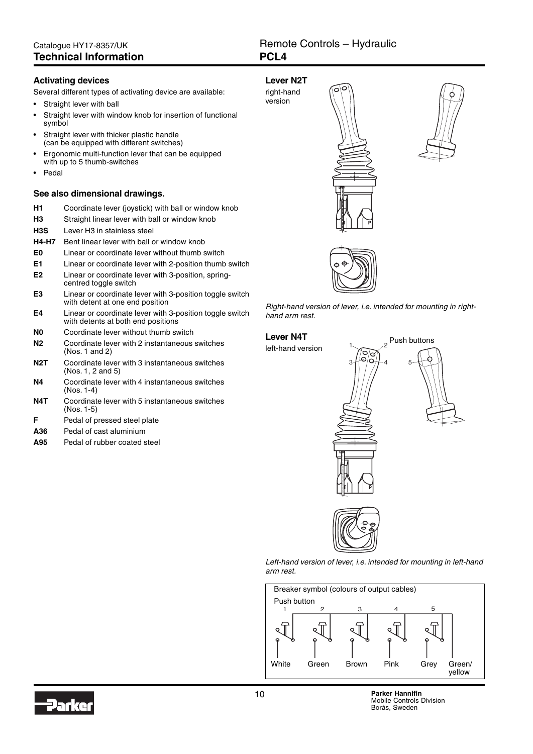#### <span id="page-9-0"></span>**Activating devices**

Several different types of activating device are available:

Straight lever with ball

Straight lever with window knob for insertion of functional

- symbol Straight lever with thicker plastic handle (can be equipped with different switches)
- Ergonomic multi-function lever that can be equipped with up to 5 thumb-switches
- Pedal

#### **See also dimensional drawings.**

| H1 | Coordinate lever (joystick) with ball or window knob |  |  |  |
|----|------------------------------------------------------|--|--|--|
|----|------------------------------------------------------|--|--|--|

- **H3** Straight linear lever with ball or window knob
- **H3S** Lever H3 in stainless steel
- **H4-H7** Bent linear lever with ball or window knob
- **E0** Linear or coordinate lever without thumb switch
- **E1** Linear or coordinate lever with 2-position thumb switch
- **E2** Linear or coordinate lever with 3-position, springcentred toggle switch
- **E3** Linear or coordinate lever with 3-position toggle switch with detent at one end position
- **E4** Linear or coordinate lever with 3-position toggle switch with detents at both end positions
- **N0** Coordinate lever without thumb switch
- **N2** Coordinate lever with 2 instantaneous switches (Nos. 1 and 2)
- **N2T** Coordinate lever with 3 instantaneous switches (Nos. 1, 2 and 5)
- **N4** Coordinate lever with 4 instantaneous switches (Nos. 1-4)
- **N4T** Coordinate lever with 5 instantaneous switches (Nos. 1-5)
- **F** Pedal of pressed steel plate
- **A36** Pedal of cast aluminium
- **A95** Pedal of rubber coated steel









Right-hand version of lever, i.e. intended for mounting in righthand arm rest.

### **Lever N4T** Push buttons

left-hand version

 $1\sim$   $\sim$   $\frac{1}{2}$ 3  $(9) + 4 = 5$ 

Left-hand version of lever, i.e. intended for mounting in left-hand arm rest.



10 **Parker Hannifin** Mobile Controls Division Borås, Sweden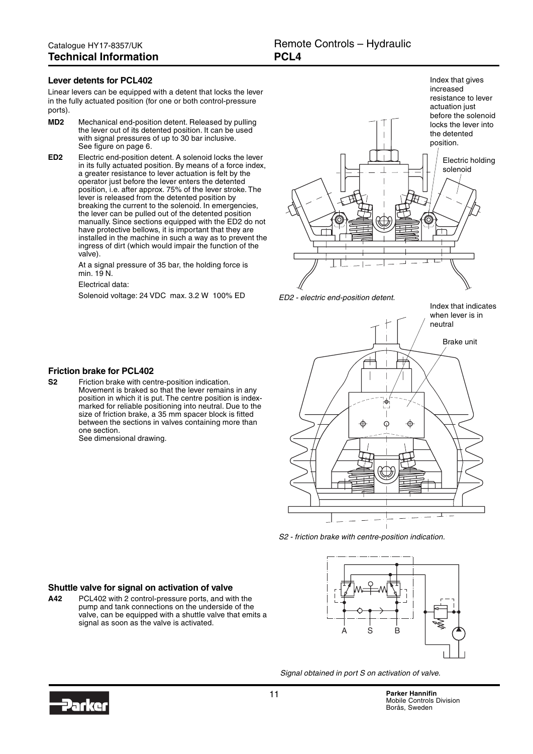#### <span id="page-10-0"></span>**Lever detents for PCL402**

Linear levers can be equipped with a detent that locks the lever in the fully actuated position (for one or both control-pressure ports).

- **MD2** Mechanical end-position detent. Released by pulling the lever out of its detented position. It can be used with signal pressures of up to 30 bar inclusive. See figure on page 6.
- **ED2** Electric end-position detent. A solenoid locks the lever in its fully actuated position. By means of a force index, a greater resistance to lever actuation is felt by the operator just before the lever enters the detented position, i.e. after approx. 75% of the lever stroke. The lever is released from the detented position by breaking the current to the solenoid. In emergencies, the lever can be pulled out of the detented position manually. Since sections equipped with the ED2 do not have protective bellows, it is important that they are installed in the machine in such a way as to prevent the ingress of dirt (which would impair the function of the valve).

At a signal pressure of 35 bar, the holding force is min. 19 N.

Electrical data:

**Friction brake for PCL402**

one section.

See dimensional drawing.

Movement is braked so that the lever remains in any position in which it is put. The centre position is indexmarked for reliable positioning into neutral. Due to the size of friction brake, a 35 mm spacer block is fitted between the sections in valves containing more than





Index that indicates when lever is in



S2 - friction brake with centre-position indication.



Signal obtained in port S on activation of valve.



Solenoid voltage: 24 VDC max. 3.2 W 100% ED ED2 - electric end-position detent.

**S2** Friction brake with centre-position indication.

**Shuttle valve for signal on activation of valve A42** PCL402 with 2 control-pressure ports, and with the

signal as soon as the valve is activated.

pump and tank connections on the underside of the valve, can be equipped with a shuttle valve that emits a

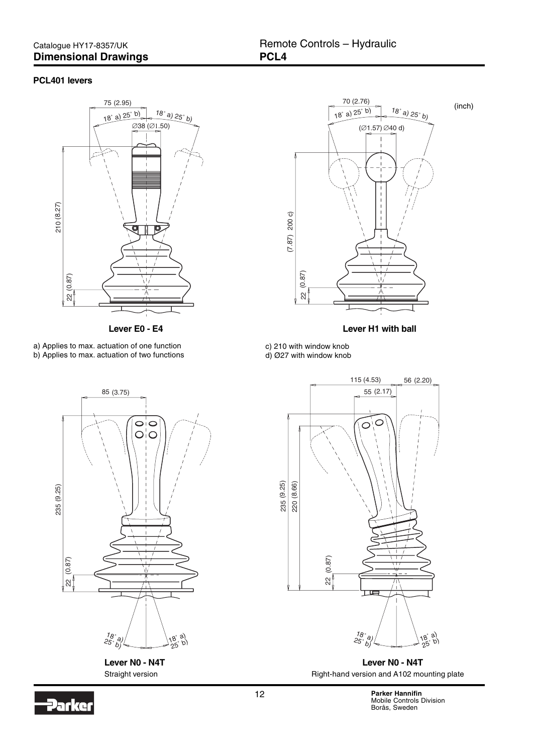### <span id="page-11-0"></span>Catalogue HY17-8357/UK **Dimensional Drawings**

#### **PCL401 levers**



a) Applies to max. actuation of one function b) Applies to max. actuation of two functions



**Lever N0 - N4T** Straight version



(inch)

**Lever E0 - E4 Lever H1 with ball**

c) 210 with window knob d) Ø27 with window knob



**Lever N0 - N4T** Right-hand version and A102 mounting plate

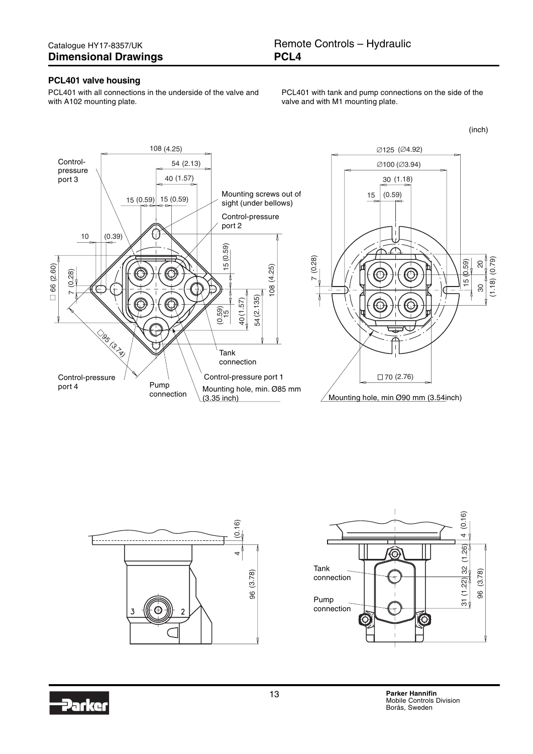#### **PCL401 valve housing**

PCL401 with all connections in the underside of the valve and with A102 mounting plate.

PCL401 with tank and pump connections on the side of the valve and with M1 mounting plate.

(inch)







Jarko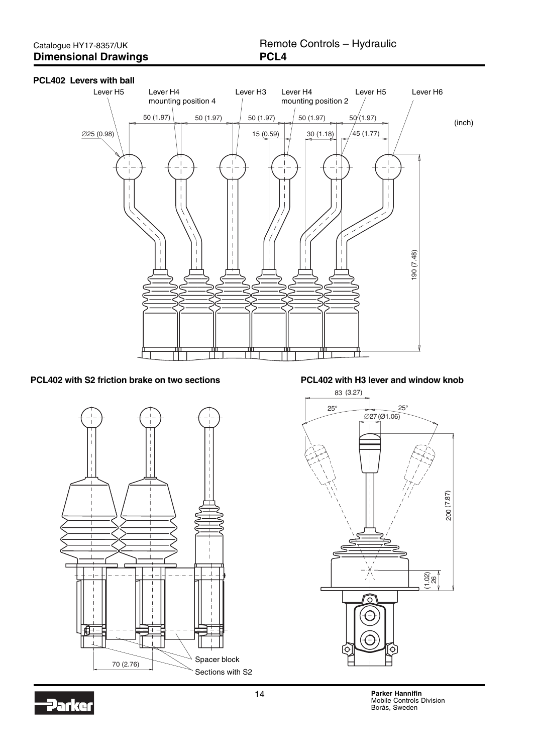#### **PCL402 Levers with ball**



**PCL402 with S2 friction brake on two sections PCL402 with H3 lever and window knob**





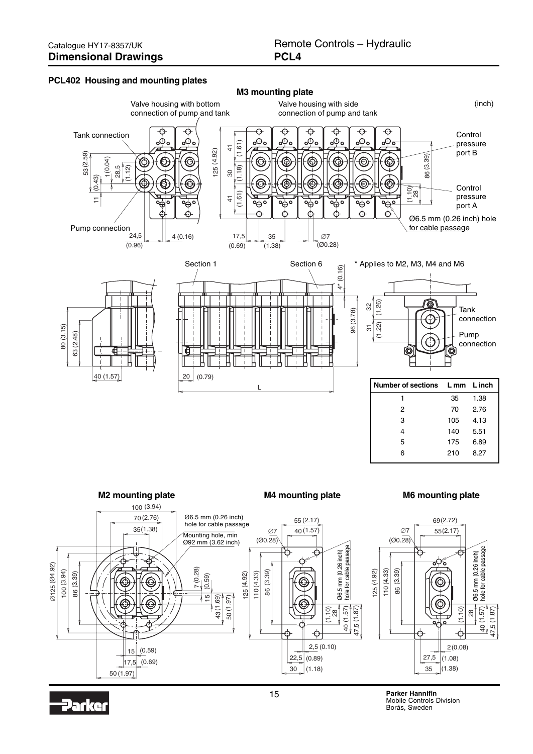#### **PCL402 Housing and mounting plates**



Parker

15 **Parker Hannifin** Mobile Controls Division Borås, Sweden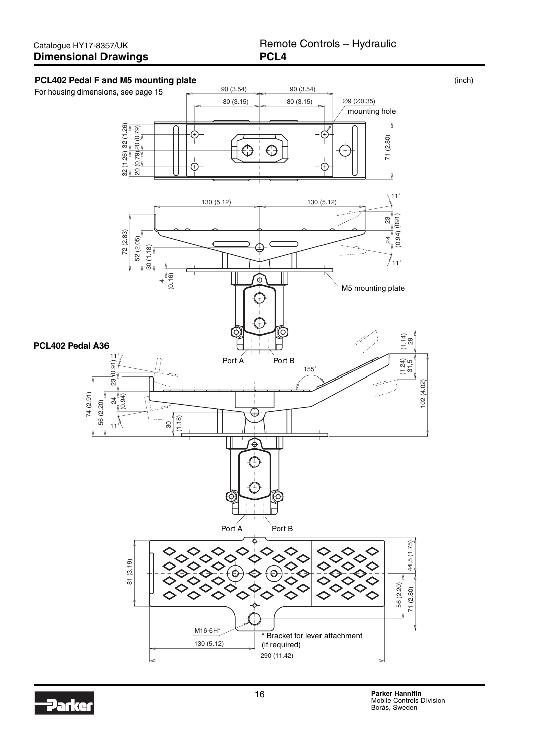#### Catalogue HY17-8357/UK **Dimensional Drawings**

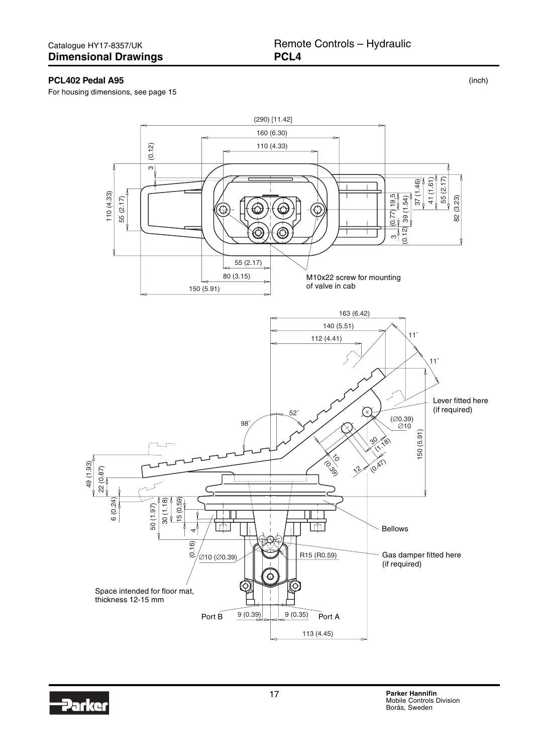#### **PCL402 Pedal A95**

For housing dimensions, see page 15



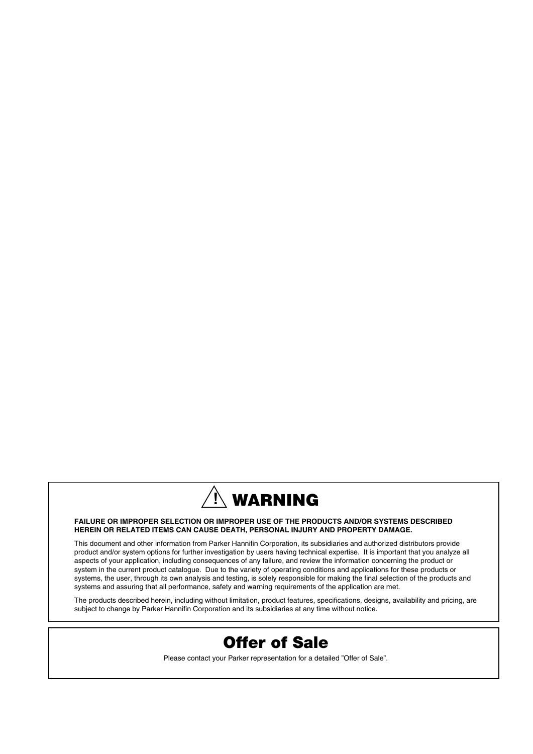

#### **FAILURE OR IMPROPER SELECTION OR IMPROPER USE OF THE PRODUCTS AND/OR SYSTEMS DESCRIBED HEREIN OR RELATED ITEMS CAN CAUSE DEATH, PERSONAL INJURY AND PROPERTY DAMAGE.**

This document and other information from Parker Hannifin Corporation, its subsidiaries and authorized distributors provide product and/or system options for further investigation by users having technical expertise. It is important that you analyze all aspects of your application, including consequences of any failure, and review the information concerning the product or system in the current product catalogue. Due to the variety of operating conditions and applications for these products or systems, the user, through its own analysis and testing, is solely responsible for making the final selection of the products and systems and assuring that all performance, safety and warning requirements of the application are met.

The products described herein, including without limitation, product features, specifications, designs, availability and pricing, are subject to change by Parker Hannifin Corporation and its subsidiaries at any time without notice.



Please contact your Parker representation for a detailed "Offer of Sale".